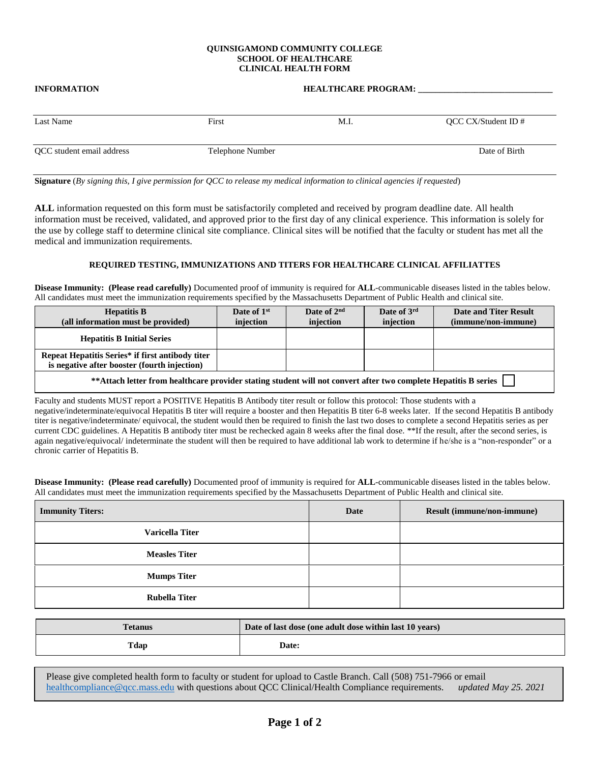### **QUINSIGAMOND COMMUNITY COLLEGE SCHOOL OF HEALTHCARE CLINICAL HEALTH FORM**

# **INFORMATION HEALTHCARE PROGRAM:** Last Name First First M.I. And QCC CX/Student ID # QCC student email address Telephone Number Date of Birth

**Signature** (*By signing this, I give permission for QCC to release my medical information to clinical agencies if requested*)

**ALL** information requested on this form must be satisfactorily completed and received by program deadline date. All health information must be received, validated, and approved prior to the first day of any clinical experience. This information is solely for the use by college staff to determine clinical site compliance. Clinical sites will be notified that the faculty or student has met all the medical and immunization requirements.

## **REQUIRED TESTING, IMMUNIZATIONS AND TITERS FOR HEALTHCARE CLINICAL AFFILIATTES**

**Disease Immunity: (Please read carefully)** Documented proof of immunity is required for **ALL**-communicable diseases listed in the tables below. All candidates must meet the immunization requirements specified by the Massachusetts Department of Public Health and clinical site.

| <b>Hepatitis B</b><br>(all information must be provided)                                                         | Date of 1 <sup>st</sup><br>injection | Date of $2nd$<br>injection | Date of 3rd<br>injection | <b>Date and Titer Result</b><br>(immune/non-immune) |
|------------------------------------------------------------------------------------------------------------------|--------------------------------------|----------------------------|--------------------------|-----------------------------------------------------|
| <b>Hepatitis B Initial Series</b>                                                                                |                                      |                            |                          |                                                     |
| Repeat Hepatitis Series* if first antibody titer<br>is negative after booster (fourth injection)                 |                                      |                            |                          |                                                     |
| ** Attach letter from healthcare provider stating student will not convert after two complete Hepatitis B series |                                      |                            |                          |                                                     |

Faculty and students MUST report a POSITIVE Hepatitis B Antibody titer result or follow this protocol: Those students with a negative/indeterminate/equivocal Hepatitis B titer will require a booster and then Hepatitis B titer 6-8 weeks later. If the second Hepatitis B antibody titer is negative/indeterminate/ equivocal, the student would then be required to finish the last two doses to complete a second Hepatitis series as per current CDC guidelines. A Hepatitis B antibody titer must be rechecked again 8 weeks after the final dose. \*\*If the result, after the second series, is again negative/equivocal/ indeterminate the student will then be required to have additional lab work to determine if he/she is a "non-responder" or a chronic carrier of Hepatitis B.

**Disease Immunity: (Please read carefully)** Documented proof of immunity is required for **ALL**-communicable diseases listed in the tables below. All candidates must meet the immunization requirements specified by the Massachusetts Department of Public Health and clinical site.

| <b>Immunity Titers:</b> | Date | Result (immune/non-immune) |
|-------------------------|------|----------------------------|
| <b>Varicella Titer</b>  |      |                            |
| <b>Measles Titer</b>    |      |                            |
| <b>Mumps Titer</b>      |      |                            |
| <b>Rubella Titer</b>    |      |                            |

| <b>Tetanus</b> | Date of last dose (one adult dose within last 10 years) |  |
|----------------|---------------------------------------------------------|--|
| Tdap           | <b>Date:</b>                                            |  |

Please give completed health form to faculty or student for upload to Castle Branch. Call (508) 751-7966 or email [healthcompliance@qcc.mass.edu](mailto:healthcompliance@qcc.mass.edu) with questions about QCC Clinical/Health Compliance requirements. *updated May 25. 2021*